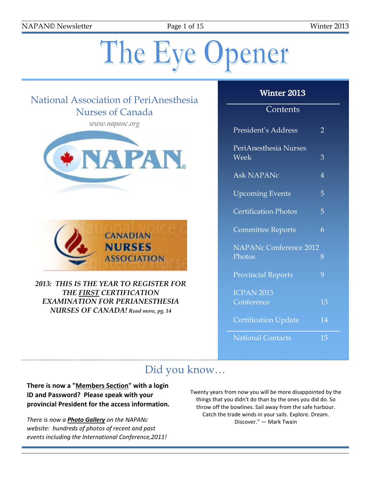NAPAN© Newsletter Page 1 of 15 Winter 2013

# The Eye Opener

# National Association of PeriAnesthesia Nurses of Canada

*www.napanc.org*





*2013: THIS IS THE YEAR TO REGISTER FOR THE FIRST CERTIFICATION EXAMINATION FOR PERIANESTHESIA NURSES OF CANADA! Read more, pg. 14*

#### Winter 2013

## **Contents**

| President's Address                     | 2  |
|-----------------------------------------|----|
| PeriAnesthesia Nurses<br>Week           | 3  |
| <b>Ask NAPANc</b>                       | 4  |
| <b>Upcoming Events</b>                  | 5  |
| <b>Certification Photos</b>             | 5  |
| <b>Committee Reports</b>                | 6  |
| <b>NAPANc Conference 2012</b><br>Photos | 8  |
| <b>Provincial Reports</b>               | 9  |
| <b>ICPAN 2013</b><br>Conference         | 13 |
| <b>Certification Update</b>             | 14 |
| <b>National Contacts</b>                | 15 |

# Did you know…

**There is now a "Members Section" with a login ID and Password? Please speak with your provincial President for the access information.**

*There is now a Photo Gallery on the NAPANc website: hundreds of photos of recent and past events including the International Conference,2011!* Twenty years from now you will be more disappointed by the things that you didn't do than by the ones you did do. So throw off the bowlines. Sail away from the safe harbour. Catch the trade winds in your sails. Explore. Dream. Discover." — Mark Twain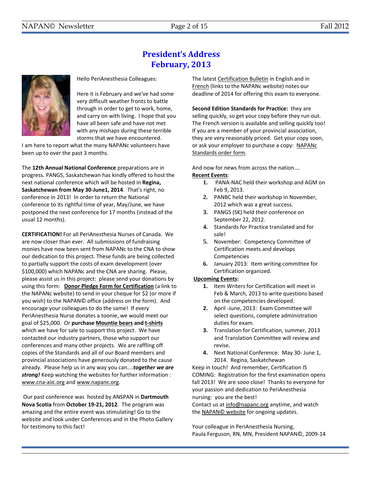## **President's Address February, 2013**



Hello PeriAnesthesia Colleagues:

Here it is February and we've had some very difficult weather fronts to battle through in order to get to work, home, and carry on with living. I hope that you have all been safe and have not met with any mishaps during these terrible storms that we have encountered.

I am here to report what the many NAPANc volunteers have been up to over the past 3 months.

The **12th Annual National Conference** preparations are in progress. PANGS, Saskatchewan has kindly offered to host the next national conference which will be hosted in **Regina, Saskatchewan from May 30-June1, 2014**. That's right, no conference in 2013! In order to return the National conference to its rightful time of year, May/June, we have postponed the next conference for 17 months (instead of the usual 12 months).

**CERTIFICATION!** For all PeriAnesthesia Nurses of Canada. We are now closer than ever. All submissions of fundraising monies have now been sent from NAPANc to the CNA to show our dedication to this project. These funds are being collected to partially support the costs of exam development (over \$100,000) which NAPANc and the CNA are sharing. Please, please assist us in this project: please send your donations by using this form: **[Donor Pledge Form for Certification](http://www.napanc.org/assets/Forms/NAPANc%20Certification%20Fundraising%20Donor%20Pledge%20Form.pdf)** (a link to the NAPANc website) to send in your cheque for \$2 (or more if you wish) to the NAPAN© office (address on the form). And encourage your colleagues to do the same! If every PeriAnesthesia Nurse donates a toonie, we would meet our goal of \$25,000. Or **purchas[e Mountie bears](http://www.napanc.org/assets/Publications/Mountie%20Bears%20Advertisement.pdf) an[d t-shirts](http://www.napanc.org/assets/Publications/T-Shirt%20Advertisement.pdf)** which we have for sale to support this project. We have contacted our industry partners, those who support our conferences and many other projects. We are raffling off copies of the Standards and all of our Board members and provincial associations have generously donated to the cause already. Please help us in any way you can....*together we are strong!* Keep watching the websites for further information : www.cna-aiic.org and www.napanc.org.

Our past conference was hosted by ANSPAN in **Dartmouth Nova Scotia** from **October 19-21, 2012**. The program was amazing and the entire event was stimulating! Go to the website and look under Conferences and in the Photo Gallery for testimony to this fact!

The lates[t Certification Bulletin](http://www.napanc.org/images/Certification%20Bulletin%20Newsletter%20announcing%20PA%20Certification%202012%20Eng.pdf) in English and in [French](http://www.napanc.org/images/Certification%20Bulletin%20Newsletter%20announcing%20PA%20Certification%202012%20Fre.pdf) (links to the NAPANc website) notes our deadline of 2014 for offering this exam to everyone.

**Second Edition Standards for Practice:** they are selling quickly, so get your copy before they run out. The French version is available and selling quickly too! If you are a member of your provincial association, they are very reasonably priced. Get your copy soon, or ask your employer to purchase a copy: [NAPANc](http://www.napanc.org/assets/Forms/NAPANc_Standards_Order_Form_English_2011.pdf)  [Standards order form.](http://www.napanc.org/assets/Forms/NAPANc_Standards_Order_Form_English_2011.pdf)

And now for news from across the nation.... **Recent Events**:

- **1.** PANA-NAC held their workshop and AGM on Feb 9, 2013.
- **2.** PANBC held their workshop in November, 2012 which was a great success.
- **3.** PANGS (SK) held their conference on September 22, 2012.
- **4.** Standards for Practice translated and for sale!
- **5.** November: Competency Committee of Certification meets and develops Competencies
- **6.** January 2013: Item writing committee for Certification organized.

#### **Upcoming Events:**

- **1.** Item Writers for Certification will meet in Feb & March, 2013 to write questions based on the competencies developed.
- **2.** April -June, 2013: Exam Committee will select questions, complete administration duties for exam.
- **3.** Translation for Certification, summer, 2013 and Translation Committee will review and revise.
- **4.** Next National Conference: May 30- June 1, 2014. Regina, Saskatchewan

Keep in touch! And remember, Certification IS COMING: Registration for the first examination opens fall 2013! We are sooo close! Thanks to everyone for your passion and dedication to PeriAnesthesia nursing: you are the best!

Contact us at info@napanc.org anytime, and watch the [NAPAN©](http://www.napanc.org/) website for ongoing updates.

Your colleague in PeriAnesthesia Nursing, Paula Ferguson, RN, MN, President NAPAN©, 2009-14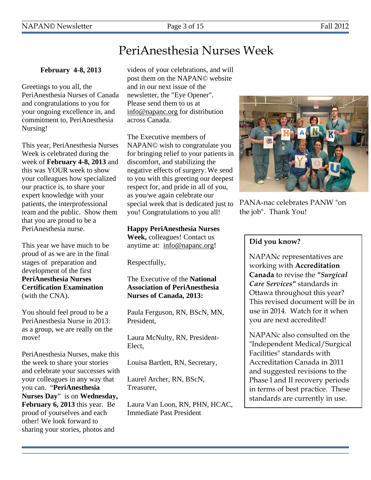# PeriAnesthesia Nurses Week

#### **February 4-8, 2013**

Greetings to you all, the PeriAnesthesia Nurses of Canada and congratulations to you for your ongoing excellence in, and commitment to, PeriAnesthesia Nursing!

This year, PeriAnesthesia Nurses Week is celebrated during the week of **February 4-8, 2013** and this was YOUR week to show your colleagues how specialized our practice is, to share your expert knowledge with your patients, the interprofessional team and the public. Show them that you are proud to be a PeriAnesthesia nurse.

This year we have much to be proud of as we are in the final stages of preparation and development of the first **PeriAnesthesia Nurses Certification Examination** (with the CNA).

You should feel proud to be a PeriAnesthesia Nurse in 2013: as a group, we are really on the move!

PeriAnesthesia Nurses, make this the week to share your stories and celebrate your successes with your colleagues in any way that you can. "**PeriAnesthesia Nurses Day**" is on **Wednesday, February 6, 2013** this year. Be proud of yourselves and each other! We look forward to sharing your stories, photos and

videos of your celebrations, and will post them on the NAPAN© website and in our next issue of the newsletter, the "Eye Opener". Please send them to us at info@napanc.org for distribution across Canada.

The Executive members of NAPAN© wish to congratulate you for bringing relief to your patients in discomfort, and stabilizing the negative effects of surgery. We send to you with this greeting our deepest respect for, and pride in all of you, as you/we again celebrate our special week that is dedicated just to you! Congratulations to you all!

**Happy PeriAnesthesia Nurses Week,** colleagues! Contact us anytime at: info@napanc.org!

Respectfully,

#### The Executive of the **National Association of PeriAnesthesia Nurses of Canada, 2013:**

Paula Ferguson, RN, BScN, MN, President,

Laura McNulty, RN, President-Elect,

Louisa Bartlett, RN, Secretary,

Laurel Archer, RN, BScN, Treasurer,

Laura Van Loon, RN, PHN, HCAC, Immediate Past President



PANA-nac celebrates PANW "on the job". Thank You!

#### **Did you know?**

NAPANc representatives are working with **Accreditation Canada** to revise the *"Surgical Care Services"* standards in Ottawa throughout this year? This revised document will be in use in 2014. Watch for it when you are next accredited!

NAPANc also consulted on the "Independent Medical/Surgical Facilities" standards with Accreditation Canada in 2011 and suggested revisions to the Phase I and II recovery periods in terms of best practice. These standards are currently in use.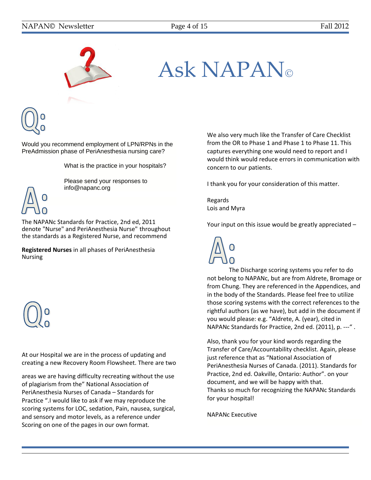

# Ask NAPAN

Would you recommend employment of LPN/RPNs in the PreAdmission phase of PeriAnesthesia nursing care?

What is the practice in your hospitals?



Please send your responses to info@napanc.org

The NAPANc Standards for Practice, 2nd ed, 2011 denote "Nurse" and PeriAnesthesia Nurse" throughout the standards as a Registered Nurse, and recommend

**Registered Nurses** in all phases of PeriAnesthesia Nursing



At our Hospital we are in the process of updating and creating a new Recovery Room Flowsheet. There are two

areas we are having difficulty recreating without the use of plagiarism from the" National Association of PeriAnesthesia Nurses of Canada – Standards for Practice ".I would like to ask if we may reproduce the scoring systems for LOC, sedation, Pain, nausea, surgical, and sensory and motor levels, as a reference under Scoring on one of the pages in our own format.

We also very much like the Transfer of Care Checklist from the OR to Phase 1 and Phase 1 to Phase 11. This captures everything one would need to report and I would think would reduce errors in communication with concern to our patients.

I thank you for your consideration of this matter.

Regards Lois and Myra

Your input on this issue would be greatly appreciated –



The Discharge scoring systems you refer to do not belong to NAPANc, but are from Aldrete, Bromage or from Chung. They are referenced in the Appendices, and in the body of the Standards. Please feel free to utilize those scoring systems with the correct references to the rightful authors (as we have), but add in the document if you would please: e.g. "Aldrete, A. (year), cited in NAPANc Standards for Practice, 2nd ed. (2011), p. ---" .

Also, thank you for your kind words regarding the Transfer of Care/Accountability checklist. Again, please just reference that as "National Association of PeriAnesthesia Nurses of Canada. (2011). Standards for Practice, 2nd ed. Oakville, Ontario: Author". on your document, and we will be happy with that. Thanks so much for recognizing the NAPANc Standards for your hospital!

NAPANc Executive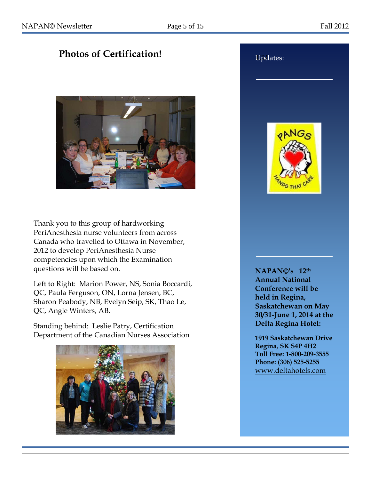# **Photos of Certification!**



Thank you to this group of hardworking PeriAnesthesia nurse volunteers from across Canada who travelled to Ottawa in November, 2012 to develop PeriAnesthesia Nurse competencies upon which the Examination questions will be based on.

Left to Right: Marion Power, NS, Sonia Boccardi, QC, Paula Ferguson, ON, Lorna Jensen, BC, Sharon Peabody, NB, Evelyn Seip, SK, Thao Le, QC, Angie Winters, AB.

Standing behind: Leslie Patry, Certification Department of the Canadian Nurses Association



# **Updates:** oNNG.

**NAPAN's 12th Annual National Conference will be held in Regina, Saskatchewan on May 30/31-June 1, 2014 at the Delta Regina Hotel:**

**1919 Saskatchewan Drive Regina, SK S4P 4H2 Toll Free: 1-800-209-3555 Phone: (306) 525-5255** [www.deltahotels.com](http://www.deltahotels.com/)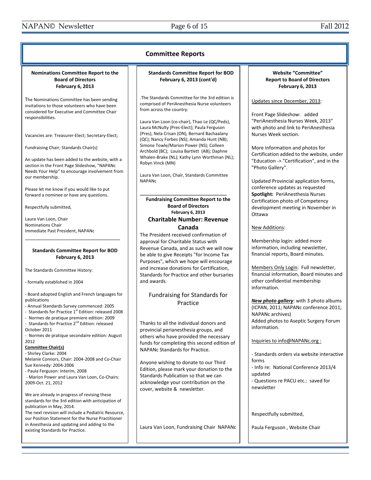| <b>Committee Reports</b>                                                                                                                                                                                                                                                                                                                                                                                                                                                                                                                                                                                                                                                                                                                                                                                                                                                                                                                                                                       |                                                                                                                                                                                                                                                                                                                                                                                                                                                                                                                                                                                                                                                                                                                                                   |                                                                                                                                                                                                                                                                                                                                                                                                                                                                                                                                                                                                                                                  |  |
|------------------------------------------------------------------------------------------------------------------------------------------------------------------------------------------------------------------------------------------------------------------------------------------------------------------------------------------------------------------------------------------------------------------------------------------------------------------------------------------------------------------------------------------------------------------------------------------------------------------------------------------------------------------------------------------------------------------------------------------------------------------------------------------------------------------------------------------------------------------------------------------------------------------------------------------------------------------------------------------------|---------------------------------------------------------------------------------------------------------------------------------------------------------------------------------------------------------------------------------------------------------------------------------------------------------------------------------------------------------------------------------------------------------------------------------------------------------------------------------------------------------------------------------------------------------------------------------------------------------------------------------------------------------------------------------------------------------------------------------------------------|--------------------------------------------------------------------------------------------------------------------------------------------------------------------------------------------------------------------------------------------------------------------------------------------------------------------------------------------------------------------------------------------------------------------------------------------------------------------------------------------------------------------------------------------------------------------------------------------------------------------------------------------------|--|
| Nominations Committee Report to the<br><b>Board of Directors</b><br>February 6, 2013                                                                                                                                                                                                                                                                                                                                                                                                                                                                                                                                                                                                                                                                                                                                                                                                                                                                                                           | <b>Standards Committee Report for BOD</b><br>February 6, 2013 (cont'd)                                                                                                                                                                                                                                                                                                                                                                                                                                                                                                                                                                                                                                                                            | <b>Website "Committee"</b><br><b>Report to Board of Directors</b><br>February 6, 2013                                                                                                                                                                                                                                                                                                                                                                                                                                                                                                                                                            |  |
| The Nominations Committee has been sending<br>invitations to those volunteers who have been<br>considered for Executive and Committee Chair<br>responsibilities.<br>Vacancies are: Treasurer-Elect; Secretary-Elect;<br>Fundraising Chair; Standards Chair(s)<br>An update has been added to the website, with a<br>section in the Front Page Slideshow, "NAPANc<br>Needs Your Help" to encourage involvement from<br>our membership.<br>Please let me know if you would like to put<br>forward a nominee or have any questions.<br>Respectfully submitted,                                                                                                                                                                                                                                                                                                                                                                                                                                    | The Standards Committee for the 3rd edition is<br>comprised of PeriAnesthesia Nurse volunteers<br>from across the country:<br>Laura Van Loon (co-chair), Thao Le (QC/Peds),<br>Laura McNulty (Pres-Elect); Paula Ferguson<br>(Pres), Nela Crisan (ON), Bernard Bachaalany<br>(QC); Nancy Forbes (NS); Amanda Hunt (NB);<br>Simone Towle/Marion Power (NS); Colleen<br>Archbold (BC); Louisa Bartlett (AB); Daphne<br>Whalen-Brake (NL); Kathy Lynn Worthman (NL);<br>Robyn Vinck (MN)<br>Laura Van Loon, Chair, Standards Committee<br><b>NAPANC</b><br><b>Fundraising Committee Report to the</b><br><b>Board of Directors</b>                                                                                                                   | Updates since December, 2013:<br>Front Page Slideshow: added<br>"PeriAnesthesia Nurses Week, 2013"<br>with photo and link to PeriAnesthesia<br>Nurses Week section.<br>More information and photos for<br>Certification added to the website, under<br>"Education -> "Certification", and in the<br>"Photo Gallery".<br>Updated Provincial application forms,<br>conference updates as requested<br>Spotlight: PeriAnesthesia Nurses<br>Certification photo of Competency<br>development meeting in November in                                                                                                                                  |  |
| Laura Van Loon, Chair<br><b>Nominations Chair</b><br>Immediate Past President, NAPANc                                                                                                                                                                                                                                                                                                                                                                                                                                                                                                                                                                                                                                                                                                                                                                                                                                                                                                          | <b>February 6, 2013</b><br><b>Charitable Number: Revenue</b><br>Canada<br>The President received confirmation of                                                                                                                                                                                                                                                                                                                                                                                                                                                                                                                                                                                                                                  | Ottawa<br>New Additions:                                                                                                                                                                                                                                                                                                                                                                                                                                                                                                                                                                                                                         |  |
| <b>Standards Committee Report for BOD</b><br>February 6, 2013<br>The Standards Committee History:<br>- formally established in 2004<br>- Board adopted English and French languages for<br>publications<br>- Annual Standards Survey commenced: 2005<br>- Standards for Practice 1st Edition: released 2008<br>Normes de pratique premiere edition: 2009<br>- Standards for Practice 2 <sup>nd</sup> Edition: released<br>October 2011<br>- Normes de pratique secondaire edition: August<br>2012<br><b>Committee Chair(s)</b><br>- Shirley Clarke: 2004<br>Melanie Connors, Chair: 2004-2008 and Co-Chair<br>Sue Kennedy: 2004-2006<br>- Paula Ferguson: Interim, 2008<br>- Marion Power and Laura Van Loon, Co-Chairs:<br>2009-Oct. 21, 2012<br>We are already in progress of revising these<br>standards for the 3rd edition with anticipation of<br>publication in May, 2014.<br>The next revision will include a Pediatric Resource,<br>our Position Statement for the Nurse Practitioner | approval for Charitable Status with<br>Revenue Canada, and as such we will now<br>be able to give Receipts "for Income Tax<br>Purposes", which we hope will encourage<br>and increase donations for Certification,<br>Standards for Practice and other bursaries<br>and awards.<br>Fundraising for Standards for<br>Practice<br>Thanks to all the individual donors and<br>provincial perianesthesia groups, and<br>others who have provided the necessary<br>funds for completing this second edition of<br>NAPANc Standards for Practice.<br>Anyone wishing to donate to our Third<br>Edition, please mark your donation to the<br>Standards Publication so that we can<br>acknowledge your contribution on the<br>cover, website & newsletter. | Membership login: added more<br>information, including newsletter,<br>financial reports, Board minutes.<br>Members Only Login: Full newsletter,<br>financial information, Board minutes and<br>other confidential membership<br>information.<br>New photo gallery: with 3 photo albums<br>(ICPAN, 2011; NAPANc conference 2011;<br><b>NAPANc</b> archives)<br>Added photos to Aseptic Surgery Forum<br>information.<br>Inquiries to info@NAPANc.org :<br>- Standards orders via website interactive<br>forms<br>- Info re: National Conference 2013/4<br>updated<br>- Questions re PACU etc.: saved for<br>newsletter<br>Respectfully submitted, |  |
| in Anesthesia and updating and adding to the<br>existing Standards for Practice.                                                                                                                                                                                                                                                                                                                                                                                                                                                                                                                                                                                                                                                                                                                                                                                                                                                                                                               | Laura Van Loon, Fundraising Chair NAPANc                                                                                                                                                                                                                                                                                                                                                                                                                                                                                                                                                                                                                                                                                                          | Paula Ferguson, Website Chair                                                                                                                                                                                                                                                                                                                                                                                                                                                                                                                                                                                                                    |  |
|                                                                                                                                                                                                                                                                                                                                                                                                                                                                                                                                                                                                                                                                                                                                                                                                                                                                                                                                                                                                |                                                                                                                                                                                                                                                                                                                                                                                                                                                                                                                                                                                                                                                                                                                                                   |                                                                                                                                                                                                                                                                                                                                                                                                                                                                                                                                                                                                                                                  |  |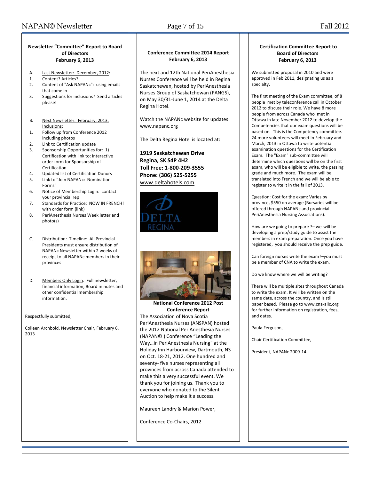#### NAPAN© Newsletter Page 7 of 15 Fall 2012

#### **Newsletter "Committee" Report to Board of Directors February 6, 2013**

- A. Last Newsletter: December, 2012:
- 1. Content? Articles?
- 2. Content of "Ask NAPANc": using emails that come in
- 3. Suggestions for inclusions? Send articles please!
- B. Next Newsletter: February, 2013: Inclusions:
- 1. Follow up from Conference 2012 including photos
- 2. Link to Certification update
- 3. Sponsorship Opportunities for: 1) Certification with link to: interactive order form for Sponsorship of Certification
- 4. Updated list of Certification Donors
- 5. Link to "Join NAPANc: Nomination Forms"
- 6. Notice of Membership Login: contact your provincial rep
- 7. Standards for Practice: NOW IN FRENCH! with order form (link)
- 8. PeriAnesthesia Nurses Week letter and photo(s)
- C. Distribution: Timeline: All Provincial Presidents must ensure distribution of NAPANc Newsletter within 2 weeks of receipt to all NAPANc members in their provinces
- D. Members Only Login: Full newsletter, financial information, Board minutes and other confidential membership information.

Respectfully submitted,

Colleen Archbold, Newsletter Chair, February 6, 2013

#### **Conference Committee 2014 Report February 6, 2013**

The next and 12th National PeriAnesthesia Nurses Conference will be held in Regina Saskatchewan, hosted by PeriAnesthesia Nurses Group of Saskatchewan (PANGS), on May 30/31-June 1, 2014 at the Delta Regina Hotel.

Watch the NAPANc website for updates: www.napanc.org

The Delta Regina Hotel is located at:

**1919 Saskatchewan Drive Regina, SK S4P 4H2 Toll Free: 1-800-209-3555 Phone: (306) 525-5255** [www.deltahotels.com](http://www.deltahotels.com/)





**National Conference 2012 Post Conference Report**

The Association of Nova Scotia PeriAnesthesia Nurses (ANSPAN) hosted the 2012 National PeriAnesthesia Nurses (NAPAN© ) Conference "Leading the Way…in PeriAnesthesia Nursing" at the Holiday Inn Harbourview, Dartmouth, NS on Oct. 18-21, 2012. One hundred and seventy- five nurses representing all provinces from across Canada attended to make this a very successful event. We thank you for joining us. Thank you to everyone who donated to the Silent Auction to help make it a success.

Maureen Landry & Marion Power,

Conference Co-Chairs, 2012

#### **Certification Committee Report to Board of Directors February 6, 2013**

We submitted proposal in 2010 and were approved in Feb 2011, designating us as a specialty.

The first meeting of the Exam committee, of 8 people met by teleconference call in October 2012 to discuss their role. We have 8 more people from across Canada who met in Ottawa in late November 2012 to develop the Competencies that our exam questions will be based on. This is the Competency committee. 24 more volunteers will meet in February and March, 2013 in Ottawa to write potential examination questions for the Certification Exam. The "Exam" sub-committee will determine which questions will be on the first exam, who will be eligible to write, the passing grade and much more. The exam will be translated into French and we will be able to register to write it in the fall of 2013.

Question: Cost for the exam: Varies by province, \$550 on average (Bursaries will be offered through NAPANc and provincial PeriAnesthesia Nursing Associations).

How are we going to prepare ?– we will be developing a prep/study guide to assist the members in exam preparation. Once you have registered, you should receive the prep guide.

Can foreign nurses write the exam?–you must be a member of CNA to write the exam.

Do we know where we will be writing?

There will be multiple sites throughout Canada to write the exam. It will be written on the same date, across the country, and is still paper based. Please go to www.cna-aiic.org for further information on registration, fees, and dates.

Paula Ferguson,

Chair Certification Committee,

President, NAPANc 2009-14.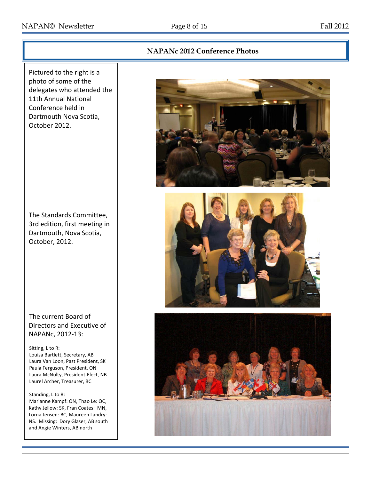#### NAPAN© Newsletter Page 8 of 15 Fall 2012

NS. Missing: Dory Glaser, AB south and Angie Winters, AB north

# **NAPANc 2012 Conference Photos** Pictured to the right is a photo of some of the delegates who attended the 11th Annual National Conference held in Dartmouth Nova Scotia, October 2012. The Standards Committee, 3rd edition, first meeting in Dartmouth, Nova Scotia, October, 2012. The current Board of Directors and Executive of NAPANc, 2012-13: Sitting, L to R: Louisa Bartlett, Secretary, AB Laura Van Loon, Past President, SK Paula Ferguson, President, ON Laura McNulty, President-Elect, NB Laurel Archer, Treasurer, BC Standing, L to R: Marianne Kampf: ON, Thao Le: QC, Kathy Jellow: SK, Fran Coates: MN, Lorna Jensen: BC, Maureen Landry: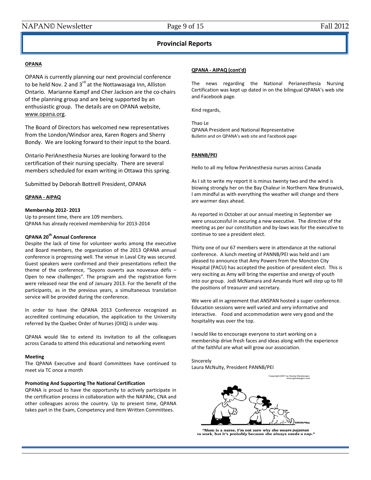#### **Provincial Reports**

#### **OPANA**

OPANA is currently planning our next provincial conference to be held Nov. 2 and  $3^{rd}$  at the Nottawasaga Inn, Alliston Ontario. Marianne Kampf and Cher Jackson are the co-chairs of the planning group and are being supported by an enthusiastic group. The details are on OPANA website, [www.opana.org.](http://www.opana.org/)

The Board of Directors has welcomed new representatives from the London/Windsor area, Karen Rogers and Sherry Bondy. We are looking forward to their input to the board.

Ontario PeriAnesthesia Nurses are looking forward to the certification of their nursing specialty. There are several members scheduled for exam writing in Ottawa this spring.

Submitted by Deborah Bottrell President, OPANA

#### **QPANA - AIPAQ**

#### **Membership 2012- 2013**

Up to present time, there are 109 members. QPANA has already received membership for 2013-2014

#### **QPANA 20th Annual Conference**

Despite the lack of time for volunteer works among the executive and Board members, the organization of the 2013 QPANA annual conference is progressing well. The venue in Laval City was secured. Guest speakers were confirmed and their presentations reflect the theme of the conference, "Soyons ouverts aux nouveaux défis – Open to new challenges". The program and the registration form were released near the end of January 2013. For the benefit of the participants, as in the previous years, a simultaneous translation service will be provided during the conference.

In order to have the QPANA 2013 Conference recognized as accredited continuing education, the application to the University referred by the Quebec Order of Nurses (OIIQ) is under way.

QPANA would like to extend its invitation to all the colleagues across Canada to attend this educational and networking event

#### **Meeting**

The QPANA Executive and Board Committees have continued to meet via TC once a month

#### **Promoting And Supporting The National Certification**

QPANA is proud to have the opportunity to actively participate in the certification process in collaboration with the NAPANc, CNA and other colleagues across the country. Up to present time, QPANA takes part in the Exam, Competency and Item Written Committees.

#### **QPANA - AIPAQ (cont'd)**

The news regarding the National Perianesthesia Nursing Certification was kept up dated in on the bilingual QPANA's web site and Facebook page.

Kind regards,

Thao Le QPANA President and National Representative Bulletin and on QPANA's web site and Facebook page

#### **PANNB/PEI**

Hello to all my fellow PeriAnesthesia nurses across Canada

As I sit to write my report it is minus twenty two and the wind is blowing strongly her on the Bay Chaleur in Northern New Brunswick, I am mindful as with everything the weather will change and there are warmer days ahead.

As reported in October at our annual meeting in September we were unsuccessful in securing a new executive. The directive of the meeting as per our constitution and by-laws was for the executive to continue to see a president elect.

Thirty one of our 67 members were in attendance at the national conference. A lunch meeting of PANNB/PEI was held and I am pleased to announce that Amy Powers from the Moncton City Hospital (PACU) has accepted the position of president elect. This is very exciting as Amy will bring the expertise and energy of youth into our group. Jodi McNamara and Amanda Hunt will step up to fill the positions of treasurer and secretary.

We were all in agreement that ANSPAN hosted a super conference. Education sessions were well varied and very informative and interactive. Food and accommodation were very good and the hospitality was over the top.

I would like to encourage everyone to start working on a membership drive fresh faces and ideas along with the experience of the faithful are what will grow our association.

Sincerely Laura McNulty, President PANNB/PEI



is a nurse. I'm not sure why she wears pajamas to work, but it's probably because she always needs a nap.'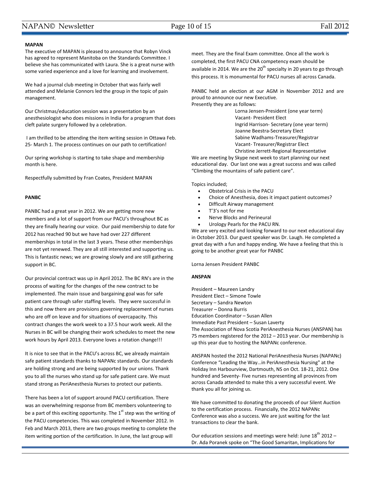#### NAPAN© Newsletter Page 10 of 15 Fall 2012

#### **MAPAN**

The executive of MAPAN is pleased to announce that Robyn Vinck has agreed to represent Manitoba on the Standards Committee. I believe she has communicated with Laura. She is a great nurse with some varied experience and a love for learning and involvement.

We had a journal club meeting in October that was fairly well attended and Melanie Connors led the group in the topic of pain management.

Our Christmas/education session was a presentation by an anesthesiologist who does missions in India for a program that does cleft palate surgery followed by a celebration.

I am thrilled to be attending the item writing session in Ottawa Feb. 25- March 1. The process continues on our path to certification!

Our spring workshop is starting to take shape and membership month is here.

Respectfully submitted by Fran Coates, President MAPAN

#### **PANBC**

PANBC had a great year in 2012. We are getting more new members and a lot of support from our PACU's throughout BC as they are finally hearing our voice. Our paid membership to date for 2012 has reached 90 but we have had over 227 different memberships in total in the last 3 years. These other memberships are not yet renewed. They are all still interested and supporting us. This is fantastic news; we are growing slowly and are still gathering support in BC.

Our provincial contract was up in April 2012. The BC RN's are in the process of waiting for the changes of the new contract to be implemented. The main issue and bargaining goal was for safe patient care through safer staffing levels. They were successful in this and now there are provisions governing replacement of nurses who are off on leave and for situations of overcapacity. This contract changes the work week to a 37.5 hour work week. All the Nurses in BC will be changing their work schedules to meet the new work hours by April 2013. Everyone loves a rotation change!!!

It is nice to see that in the PACU's across BC, we already maintain safe patient standards thanks to NAPANc standards. Our standards are holding strong and are being supported by our unions. Thank you to all the nurses who stand up for safe patient care. We must stand strong as PeriAnesthesia Nurses to protect our patients.

There has been a lot of support around PACU certification. There was an overwhelming response from BC members volunteering to be a part of this exciting opportunity. The  $1<sup>st</sup>$  step was the writing of the PACU competencies. This was completed in November 2012. In Feb and March 2013, there are two groups meeting to complete the item writing portion of the certification. In June, the last group will

meet. They are the final Exam committee. Once all the work is completed, the first PACU CNA competency exam should be available in 2014. We are the  $20<sup>th</sup>$  specialty in 20 years to go through this process. It is monumental for PACU nurses all across Canada.

PANBC held an election at our AGM in November 2012 and are proud to announce our new Executive. Presently they are as follows:

> Lorna Jensen-President (one year term) Vacant- President Elect Ingrid Harrison- Secretary (one year term) Joanne Beestra-Secretary Elect Sabine Wadhams-Treasurer/Registrar Vacant- Treasurer/Registrar Elect Christine Jerrett-Regional Representative

We are meeting by Skype next week to start planning our next educational day. Our last one was a great success and was called "Climbing the mountains of safe patient care".

Topics included;

- Obstetrical Crisis in the PACU
- Choice of Anesthesia, does it impact patient outcomes?
- Difficult Airway management
- T'3's not for me
- Nerve Blocks and Perineural
- Urology Pearls for the PACU RN.

We are very excited and looking forward to our next educational day in October 2013. Our guest speaker was Dr. Laugh. He completed a great day with a fun and happy ending. We have a feeling that this is going to be another great year for PANBC

Lorna Jensen President PANBC

#### **ANSPAN**

President – Maureen Landry President Elect – Simone Towle Secretary – Sandra Newton Treasurer – Donna Burris Education Coordinator – Susan Allen Immediate Past President – Susan Laverty The Association of Nova Scotia PeriAnesthesia Nurses (ANSPAN) has 75 members registered for the 2012 – 2013 year. Our membership is up this year due to hosting the NAPANc conference.

ANSPAN hosted the 2012 National PeriAnesthesia Nurses (NAPANc) Conference "Leading the Way…in PeriAnesthesia Nursing" at the Holiday Inn Harbourview, Dartmouth, NS on Oct. 18-21, 2012. One hundred and Seventy- Five nurses representing all provinces from across Canada attended to make this a very successful event. We thank you all for joining us.

We have committed to donating the proceeds of our Silent Auction to the certification process. Financially, the 2012 NAPANc Conference was also a success. We are just waiting for the last transactions to clear the bank.

Our education sessions and meetings were held: June  $18<sup>th</sup>$  2012 – Dr. Ada Poranek spoke on "The Good Samaritan, Implications for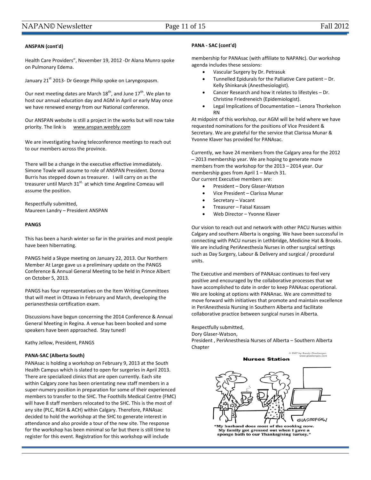#### **ANSPAN (cont'd)**

Health Care Providers", November 19, 2012 -Dr Alana Munro spoke on Pulmonary Edema.

January 21<sup>st</sup> 2013- Dr George Philip spoke on Laryngospasm.

Our next meeting dates are March  $18^{th}$ , and June  $17^{th}$ . We plan to host our annual education day and AGM in April or early May once we have renewed energy from our National conference.

Our ANSPAN website is still a project in the works but will now take priority. The link is [www.anspan.weebly.com](http://www.anspan.weebly.com/)

We are investigating having teleconference meetings to reach out to our members across the province.

There will be a change in the executive effective immediately. Simone Towle will assume to role of ANSPAN President. Donna Burris has stepped down as treasurer. I will carry on as the treasurer until March 31<sup>st.</sup> at which time Angeline Comeau will assume the position.

Respectfully submitted, Maureen Landry – President ANSPAN

#### **PANGS**

This has been a harsh winter so far in the prairies and most people have been hibernating.

PANGS held a Skype meeting on January 22, 2013. Our Northern Member At Large gave us a preliminary update on the PANGS Conference & Annual General Meeting to be held in Prince Albert on October 5, 2013.

PANGS has four representatives on the Item Writing Committees that will meet in Ottawa in February and March, developing the perianesthesia certification exam.

Discussions have begun concerning the 2014 Conference & Annual General Meeting in Regina. A venue has been booked and some speakers have been approached. Stay tuned!

Kathy Jellow, President, PANGS

#### **PANA-SAC (Alberta South)**

PANAsac is holding a workshop on February 9, 2013 at the South Health Campus which is slated to open for surgeries in April 2013. There are specialized clinics that are open currently. Each site within Calgary zone has been orientating new staff members in a super-numery position in preparation for some of their experienced members to transfer to the SHC. The Foothills Medical Centre (FMC) will have 8 staff members relocated to the SHC. This is the most of any site (PLC, RGH & ACH) within Calgary. Therefore, PANAsac decided to hold the workshop at the SHC to generate interest in attendance and also provide a tour of the new site. The response for the workshop has been minimal so far but there is still time to register for this event. Registration for this workshop will include

#### **PANA - SAC (cont'd)**

membership for PANAsac (with affiliate to NAPANc). Our workshop agenda includes these sessions:

- Vascular Surgery by Dr. Petrasuk
- Tunnelled Epidurals for the Palliative Care patient Dr. Kelly Shinkaruk (Anesthesiologist).
- Cancer Research and how it relates to lifestyles Dr. Christine Friedreneich (Epidemiologist).
- Legal Implications of Documentation Lenora Thorkelson RN

At midpoint of this workshop, our AGM will be held where we have requested nominations for the positions of Vice President & Secretary. We are grateful for the service that Clarissa Munar & Yvonne Klaver has provided for PANAsac.

Currently, we have 24 members from the Calgary area for the 2012 – 2013 membership year. We are hoping to generate more members from the workshop for the 2013 – 2014 year. Our membership goes from April 1 – March 31. Our current Executive members are:

- President Dory Glaser-Watson
- Vice President Clarissa Munar
- Secretary Vacant
- Treasurer Faisal Kassam
- Web Director Yvonne Klaver

Our vision to reach out and network with other PACU Nurses within Calgary and southern Alberta is ongoing. We have been successful in connecting with PACU nurses in Lethbridge, Medicine Hat & Brooks. We are including PeriAnesthesia Nurses in other surgical settings such as Day Surgery, Labour & Delivery and surgical / procedural units.

The Executive and members of PANAsac continues to feel very positive and encouraged by the collaborative processes that we have accomplished to date in order to keep PANAsac operational. We are looking at options with PANAnac. We are committed to move forward with initiatives that promote and maintain excellence in PeriAnesthesia Nursing in Southern Alberta and facilitate collaborative practice between surgical nurses in Alberta.

Respectfully submitted, Dory Glaser-Watson, President , PeriAnesthesia Nurses of Alberta – Southern Alberta Chapter

> 2007 by Randy Glasberge<br>www.glasbergen.co **Nurses Station**



My husband does most of the cooking now. My fusband does most of the cooking now<br>My family got grossed out when I gave a<br>sponge bath to our Thanksgiving turkey."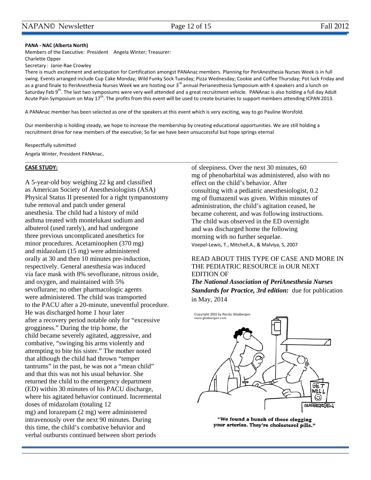#### **PANA - NAC (Alberta North)**

Members of the Executive: President Angela Winter; Treasurer:

Charlette Opper

Secretary : Janie-Rae Crowley

There is much excitement and anticipation for Certification amongst PANAnac members. Planning for PeriAnesthesia Nurses Week is in full swing. Events arranged include Cup Cake Monday; Wild Funky Sock Tuesday; Pizza Wednesday; Cookie and Coffee Thursday; Pot luck Friday and as a grand finale to PeriAnesthesia Nurses Week we are hosting our 3<sup>rd</sup> annual Perianesthesia Symposium with 4 speakers and a lunch on Saturday Feb 9<sup>th</sup>. The last two symposiums were very well attended and a great recruitment vehicle. PANAnac is also holding a full day Adult Acute Pain Symposium on May 17<sup>th</sup>. The profits from this event will be used to create bursaries to support members attending ICPAN 2013.

A PANAnac member has been selected as one of the speakers at this event which is very exciting, way to go Pauline Worsfold.

Our membership is holding steady, we hope to increase the membership by creating educational opportunities. We are still holding a recruitment drive for new members of the executive; So far we have been unsuccessful but hope springs eternal

 $\_$  , and the state of the state of the state of the state of the state of the state of the state of the state of the state of the state of the state of the state of the state of the state of the state of the state of the

Respectfully submitted Angela Winter, President PANAnac.

#### **CASE STUDY:**

A 5-year-old boy weighing 22 kg and classified as American Society of Anesthesiologists (ASA) Physical Status II presented for a right tympanostomy tube removal and patch under general anesthesia. The child had a history of mild asthma treated with montelukast sodium and albuterol (used rarely), and had undergone three previous uncomplicated anesthetics for minor procedures. Acetaminophen (370 mg) and midazolam (15 mg) were administered orally at 30 and then 10 minutes pre-induction, respectively. General anesthesia was induced via face mask with 8% sevoflurane, nitrous oxide, and oxygen, and maintained with 5% sevoflurane; no other pharmacologic agents were administered. The child was transported to the PACU after a 20-minute, uneventful procedure. He was discharged home 1 hour later after a recovery period notable only for "excessive grogginess." During the trip home, the child became severely agitated, aggressive, and combative, "swinging his arms violently and attempting to bite his sister." The mother noted that although the child had thrown "temper tantrums" in the past, he was not a "mean child" and that this was not his usual behavior. She returned the child to the emergency department (ED) within 30 minutes of his PACU discharge, where his agitated behavior continued. Incremental doses of midazolam (totaling 12 mg) and lorazepam (2 mg) were administered intravenously over the next 90 minutes. During this time, the child's combative behavior and verbal outbursts continued between short periods

of sleepiness. Over the next 30 minutes, 60 mg of phenobarbital was administered, also with no effect on the child's behavior. After consulting with a pediatric anesthesiologist, 0.2 mg of flumazenil was given. Within minutes of administration, the child's agitation ceased, he became coherent, and was following instructions. The child was observed in the ED overnight and was discharged home the following morning with no further sequelae. Voepel-Lewis, T., Mitchell,A., & Malviya, S, 2007

#### READ ABOUT THIS TYPE OF CASE AND MORE IN THE PEDIATRIC RESOURCE in OUR NEXT EDITION OF

*The National Association of PeriAnesthesia Nurses Standards for Practice, 3rd edition:* due for publication in May, 2014



"We found a bunch of these clogging your arteries. They're cholesterol pills."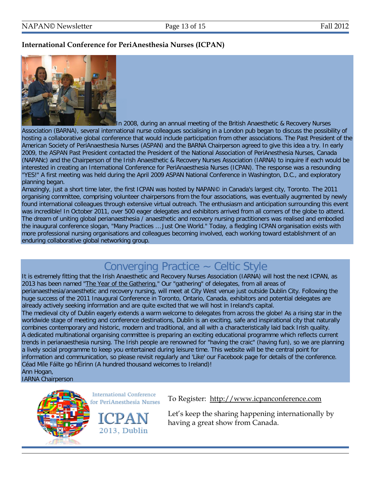#### **International Conference for PeriAnesthesia Nurses (ICPAN)**



In 2008, during an annual meeting of the British Anaesthetic & Recovery Nurses Association (BARNA), several international nurse colleagues socialising in a London pub began to discuss the possibility of hosting a collaborative global conference that would include participation from other associations. The Past President of the American Society of PeriAnaesthesia Nurses (ASPAN) and the BARNA Chairperson agreed to give this idea a try. In early 2009, the ASPAN Past President contacted the President of the National Association of PeriAnesthesia Nurses, Canada (NAPANc) and the Chairperson of the Irish Anaesthetic & Recovery Nurses Association (IARNA) to inquire if each would be interested in creating an International Conference for PeriAnaesthesia Nurses (ICPAN). The response was a resounding "YES!" A first meeting was held during the April 2009 ASPAN National Conference in Washington, D.C., and exploratory planning began.

Amazingly, just a short time later, the first ICPAN was hosted by NAPAN© in Canada's largest city, Toronto. The 2011 organising committee, comprising volunteer chairpersons from the four associations, was eventually augmented by newly found international colleagues through extensive virtual outreach. The enthusiasm and anticipation surrounding this event was incredible! In October 2011, over 500 eager delegates and exhibitors arrived from all corners of the globe to attend. The dream of uniting global perianaesthesia / anaesthetic and recovery nursing practitioners was realised and embodied the inaugural conference slogan, "Many Practices … Just One World." Today, a fledgling ICPAN organisation exists with more professional nursing organisations and colleagues becoming involved, each working toward establishment of an enduring collaborative global networking group.

# Converging Practice ~ Celtic Style

It is extremely fitting that the Irish Anaesthetic and Recovery Nurses Association (IARNA) will host the next ICPAN, as 2013 has been named ["The Year of the Gathering."](http://www.icpanconference.com/index.php/the-gathering/) Our "gathering" of delegates, from all areas of perianaesthesia/anaesthetic and recovery nursing, will meet at City West venue just outside Dublin City. Following the huge success of the 2011 Inaugural Conference in Toronto, Ontario, Canada, exhibitors and potential delegates are already actively seeking information and are quite excited that we will host in Ireland's capital.

The medieval city of Dublin eagerly extends a warm welcome to delegates from across the globe! As a rising star in the worldwide stage of meeting and conference destinations, Dublin is an exciting, safe and inspirational city that naturally combines contemporary and historic, modern and traditional, and all with a characteristically laid back Irish quality. A dedicated multinational organising committee is preparing an exciting educational programme which reflects current trends in perianaesthesia nursing. The Irish people are renowned for "having the craic" (having fun), so we are planning a lively social programme to keep you entertained during leisure time. This website will be the central point for information and communication, so please revisit regularly and 'Like' our Facebook page for details of the conference. Céad Míle Fáilte go hÉirinn (A hundred thousand welcomes to Ireland)!

Ann Hogan, IARNA Chairperson



To Register: [http://www.icpanconference.com](http://www.icpanconference.com/) 

Let's keep the sharing happening internationally by having a great show from Canada.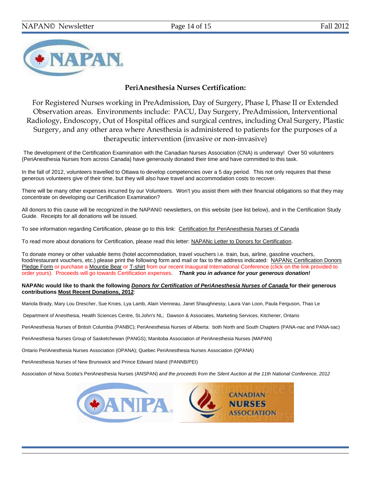

#### **PeriAnesthesia Nurses Certification:**

For Registered Nurses working in PreAdmission, Day of Surgery, Phase I, Phase II or Extended Observation areas. Environments include: PACU, Day Surgery, PreAdmission, Interventional Radiology, Endoscopy, Out of Hospital offices and surgical centres, including Oral Surgery, Plastic Surgery, and any other area where Anesthesia is administered to patients for the purposes of a therapeutic intervention (invasive or non-invasive)

The development of the Certification Examination with the Canadian Nurses Association (CNA) is underway! Over 50 volunteers (PeriAnesthesia Nurses from across Canada) have generously donated their time and have committed to this task.

In the fall of 2012, volunteers travelled to Ottawa to develop competencies over a 5 day period. This not only requires that these generous volunteers give of their time, but they will also have travel and accommodation costs to recover.

There will be many other expenses incurred by our Volunteers. Won't you assist them with their financial obligations so that they may concentrate on developing our Certification Examination?

All donors to this cause will be recognized in the NAPAN© newsletters, on this website (see list below), and in the Certification Study Guide. Receipts for all donations will be issued.

To see information regarding Certification, please go to this link: [Certification for PeriAnesthesia Nurses of Canada](http://www.napanc.org/education/certification-examination)

To read more about donations for Certification, please read this letter: [NAPANc Letter to Donors for Certification.](http://www.napanc.org/assets/Forms/NAPANc%20Letter%20to%20Donors%20for%20Certification%20Fundraising%20Final.pdf)

To donate money or other valuable items (hotel accommodation, travel vouchers i.e. train, bus, airline, gasoline vouchers, food/restaurant vouchers, etc.) please print the following form and mail or fax to the address indicated: [NAPANc Certification Donors](http://www.napanc.org/assets/Forms/NAPANc%20Certification%20Fundraising%20Donor%20Pledge%20Form.pdf)  [Pledge Form](http://www.napanc.org/assets/Forms/NAPANc%20Certification%20Fundraising%20Donor%20Pledge%20Form.pdf) or purchase a [Mountie Bear](http://www.napanc.org/assets/Publications/Mountie%20Bears%20Advertisement.pdf) or [T-shirt](http://www.napanc.org/assets/Publications/T-Shirt%20Advertisement.pdf) from our recent Inaugural International Conference (click on the link provided to order yours). Proceeds will go towards Certification expenses. *Thank you in advance for your generous donation!* 

#### **NAPANc would like to thank the following** *Donors for Certification of PeriAnesthesia Nurses of Canada* **for their generous contributions Most Recent Donations, 2012**:

Mariola Brady, Mary Lou Drescher, Sue Kroes, Lya Lamb, Alain Vienneau, Janet Shaughnessy, Laura Van Loon, Paula Ferguson, Thao Le

Department of Anesthesia, Health Sciences Centre, St.John's NL; Dawson & Associates, Marketing Services, Kitchener, Ontario

PeriAnesthesia Nurses of British Columbia (PANBC); PeriAnesthesia Nurses of Alberta: both North and South Chapters (PANA-nac and PANA-sac)

PeriAnesthesia Nurses Group of Sasketchewan (PANGS); Manitoba Association of PeriAnesthesia Nurses (MAPAN)

Ontario PeriAnesthesia Nurses Association (OPANA); Quebec PeriAnesthesia Nurses Association (QPANA)

PeriAnesthesia Nurses of New Brunswick and Prince Edward Island (PANNB/PEI)

Association of Nova Scotia's PeriAnesthesia Nurses (ANSPAN) *and the proceeds from the Silent Auction at the 11th National Conference, 2012*